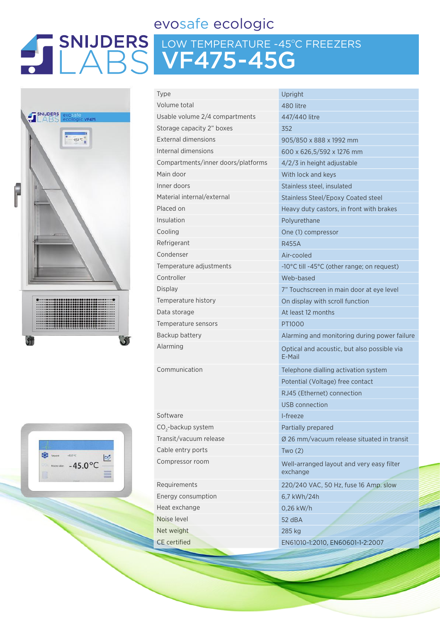## evosafe ecologic

## LOW TEMPERATURE -45ºC FREEZERS VF475-45G



| Type                               | Upright             |
|------------------------------------|---------------------|
| Volume total                       | 480 litre           |
| Usable volume 2/4 compartments     | 447/44C             |
| Storage capacity 2" boxes          | 352                 |
| External dimensions                | 905/850             |
| Internal dimensions                | $600 \times 62$     |
| Compartments/inner doors/platforms | $4/2/3$ in          |
| Main door                          | With loc            |
| Inner doors                        | <b>Stainless</b>    |
| Material internal/external         | <b>Stainless</b>    |
| Placed on                          | Heavy d             |
| Insulation                         | Polyuret            |
| Cooling                            | One (1) o           |
| Refrigerant                        | <b>R455A</b>        |
| Condenser                          | Air-cool            |
| Temperature adjustments            | -10°C till          |
| Controller                         | Web-ba:             |
| <b>Display</b>                     | 7" Touch            |
| Temperature history                | On displ            |
| Data storage                       | At least            |
| Temperature sensors                | PT1000              |
| Backup battery                     | Alarming            |
| Alarming                           | Optical a<br>F-Mail |
| Communication                      | Telephor            |
|                                    | Potentia            |
|                                    | RJ45 (Et            |
|                                    | USB con             |
| Software                           | I-freeze            |
| CO <sub>2</sub> -backup system     | Partially           |

 $CO<sub>2</sub>$ Cable entry ports Two (2)

Energy consumption 6,7 kWh/24h Heat exchange 0.26 kW/h Noise level 52 dBA Net weight 285 kg

7/440 litre 5/850 x 888 x 1992 mm 0 x 626,5/592 x 1276 mm 2/3 in height adjustable th lock and keys ainless steel, insulated ainless Steel/Epoxy Coated steel avy duty castors, in front with brakes **Iyurethane** e (1) compressor -cooled °C till -45°C (other range; on request) eb-based Touchscreen in main door at eye level display with scroll function least 12 months arming and monitoring during power failure tical and acoustic, but also possible via E-Mail ephone dialling activation system tential (Voltage) free contact 45 (Ethernet) connection B connection rtially prepared Transit/vacuum release Ø 26 mm/vacuum release situated in transit Compressor room Well-arranged layout and very easy filter exchange Requirements 220/240 VAC, 50 Hz, fuse 16 Amp. slow CE certified EN61010-1:2010, EN60601-1-2:2007